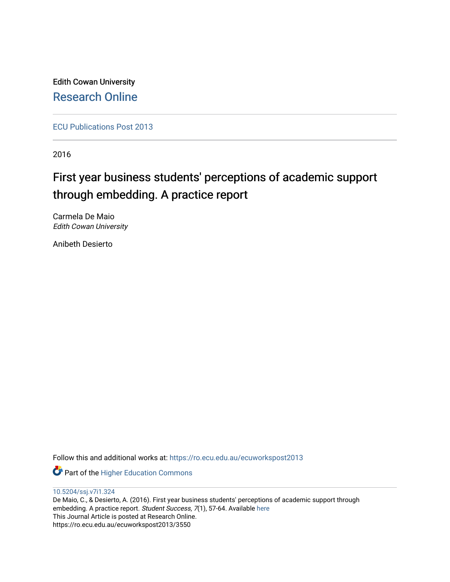Edith Cowan University [Research Online](https://ro.ecu.edu.au/) 

[ECU Publications Post 2013](https://ro.ecu.edu.au/ecuworkspost2013)

2016

# First year business students' perceptions of academic support through embedding. A practice report

Carmela De Maio Edith Cowan University

Anibeth Desierto

Follow this and additional works at: [https://ro.ecu.edu.au/ecuworkspost2013](https://ro.ecu.edu.au/ecuworkspost2013?utm_source=ro.ecu.edu.au%2Fecuworkspost2013%2F3550&utm_medium=PDF&utm_campaign=PDFCoverPages) 

**Part of the Higher Education Commons** 

[10.5204/ssj.v7i1.324](http://dx.doi.org/10.5204/ssj.v7i1.324)

De Maio, C., & Desierto, A. (2016). First year business students' perceptions of academic support through embedding. A practice report. Student Success, 7(1), 57-64. Available here This Journal Article is posted at Research Online. https://ro.ecu.edu.au/ecuworkspost2013/3550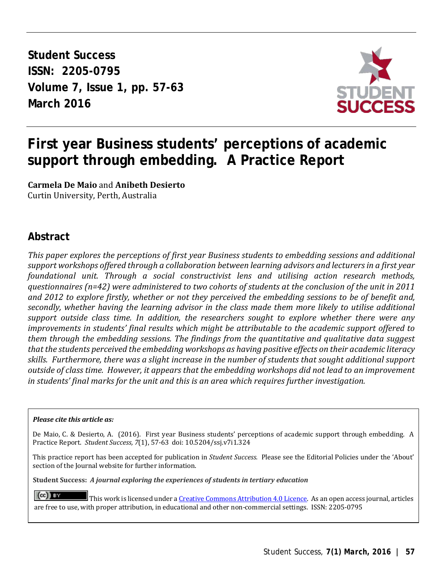**Student Success ISSN: 2205-0795 Volume 7, Issue 1, pp. 57-63 March 2016** 



## **First year Business students' perceptions of academic support through embedding. A Practice Report**

**Carmela De Maio** and **Anibeth Desierto** Curtin University, Perth, Australia

#### **Abstract**

*This paper explores the perceptions of first year Business students to embedding sessions and additional support workshops offered through a collaboration between learning advisors and lecturers in a first year foundational unit. Through a social constructivist lens and utilising action research methods, questionnaires (n=42) were administered to two cohorts of students at the conclusion of the unit in 2011 and 2012 to explore firstly, whether or not they perceived the embedding sessions to be of benefit and, secondly, whether having the learning advisor in the class made them more likely to utilise additional support outside class time. In addition, the researchers sought to explore whether there were any improvements in students' final results which might be attributable to the academic support offered to them through the embedding sessions. The findings from the quantitative and qualitative data suggest that the students perceived the embedding workshops as having positive effects on their academic literacy skills. Furthermore, there was a slight increase in the number of students that sought additional support outside of class time. However, it appears that the embedding workshops did not lead to an improvement in students' final marks for the unit and this is an area which requires further investigation.*

#### *Please cite this article as:*

De Maio, C. & Desierto, A. (2016). First year Business students' perceptions of academic support through embedding. A Practice Report.*Student Success, 7*(1), 57-63 doi: 10.5204/ssj.v7i1.324

This practice report has been accepted for publication in *Student Success.* Please see the Editorial Policies under the 'About' section of the Journal website for further information.

**Student Success:** *A journal exploring the experiences of students in tertiary education*

 $(cc)$  **Ex** This work is licensed under [a Creative Commons Attribution 4.0 Licence.](https://creativecommons.org/licenses/by/4.0/) As an open access journal, articles are free to use, with proper attribution, in educational and other non-commercial settings. ISSN: 2205-0795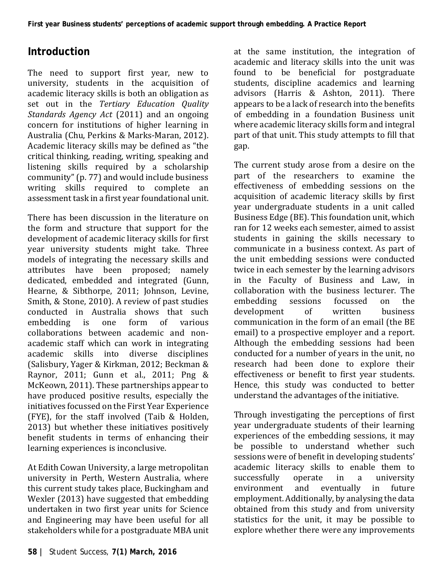### **Introduction**

The need to support first year, new to university, students in the acquisition of academic literacy skills is both an obligation as set out in the *Tertiary Education Quality Standards Agency Act* (2011) and an ongoing concern for institutions of higher learning in Australia (Chu, Perkins & Marks-Maran, 2012). Academic literacy skills may be defined as "the critical thinking, reading, writing, speaking and listening skills required by a scholarship community" (p. 77) and would include business writing skills required to complete an assessment task in a first year foundational unit.

There has been discussion in the literature on the form and structure that support for the development of academic literacy skills for first year university students might take. Three models of integrating the necessary skills and attributes have been proposed; namely dedicated, embedded and integrated (Gunn, Hearne, & Sibthorpe, 2011; Johnson, Levine, Smith, & Stone, 2010). A review of past studies conducted in Australia shows that such<br>embedding is one form of various embedding collaborations between academic and nonacademic staff which can work in integrating academic skills into diverse disciplines (Salisbury, Yager & Kirkman, 2012; Beckman & Raynor, 2011; Gunn et al., 2011; Png & McKeown, 2011). These partnerships appear to have produced positive results, especially the initiatives focussed on the First Year Experience (FYE), for the staff involved (Taib & Holden, 2013) but whether these initiatives positively benefit students in terms of enhancing their learning experiences is inconclusive.

At Edith Cowan University, a large metropolitan university in Perth, Western Australia, where this current study takes place, Buckingham and Wexler (2013) have suggested that embedding undertaken in two first year units for Science and Engineering may have been useful for all stakeholders while for a postgraduate MBA unit

at the same institution, the integration of academic and literacy skills into the unit was found to be beneficial for postgraduate students, discipline academics and learning advisors (Harris & Ashton, 2011). There appears to be a lack of research into the benefits of embedding in a foundation Business unit where academic literacy skills form and integral part of that unit. This study attempts to fill that gap.

The current study arose from a desire on the part of the researchers to examine the effectiveness of embedding sessions on the acquisition of academic literacy skills by first year undergraduate students in a unit called Business Edge (BE). This foundation unit, which ran for 12 weeks each semester, aimed to assist students in gaining the skills necessary to communicate in a business context. As part of the unit embedding sessions were conducted twice in each semester by the learning advisors in the Faculty of Business and Law, in collaboration with the business lecturer. The<br>embedding sessions focussed on the embedding sessions focussed on the<br>development of written business development communication in the form of an email (the BE email) to a prospective employer and a report. Although the embedding sessions had been conducted for a number of years in the unit, no research had been done to explore their effectiveness or benefit to first year students. Hence, this study was conducted to better understand the advantages of the initiative.

Through investigating the perceptions of first year undergraduate students of their learning experiences of the embedding sessions, it may be possible to understand whether such sessions were of benefit in developing students' academic literacy skills to enable them to<br>successfully operate in a university successfully operate in a university<br>environment and eventually in future and eventually employment. Additionally, by analysing the data obtained from this study and from university statistics for the unit, it may be possible to explore whether there were any improvements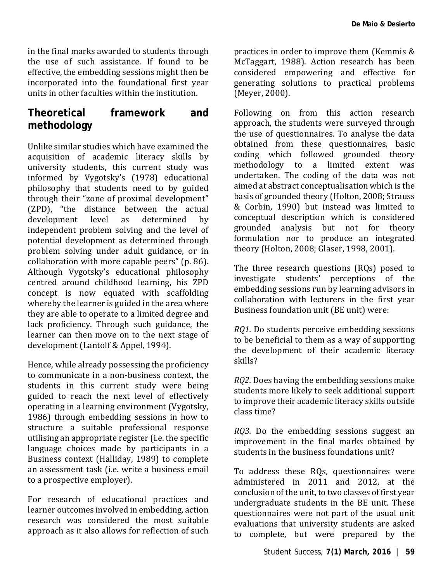in the final marks awarded to students through the use of such assistance. If found to be effective, the embedding sessions might then be incorporated into the foundational first year units in other faculties within the institution.

### **Theoretical framework and methodology**

Unlike similar studies which have examined the acquisition of academic literacy skills by university students, this current study was informed by Vygotsky's (1978) educational philosophy that students need to by guided through their "zone of proximal development" (ZPD), "the distance between the actual development level as determined by development level as determined by independent problem solving and the level of potential development as determined through problem solving under adult guidance, or in collaboration with more capable peers" (p. 86). Although Vygotsky's educational philosophy centred around childhood learning, his ZPD concept is now equated with scaffolding whereby the learner is guided in the area where they are able to operate to a limited degree and lack proficiency. Through such guidance, the learner can then move on to the next stage of development (Lantolf & Appel, 1994).

Hence, while already possessing the proficiency to communicate in a non-business context, the students in this current study were being guided to reach the next level of effectively operating in a learning environment (Vygotsky, 1986) through embedding sessions in how to structure a suitable professional response utilising an appropriate register (i.e. the specific language choices made by participants in a Business context (Halliday, 1989) to complete an assessment task (i.e. write a business email to a prospective employer).

For research of educational practices and learner outcomes involved in embedding, action research was considered the most suitable approach as it also allows for reflection of such

practices in order to improve them (Kemmis & McTaggart, 1988). Action research has been considered empowering and effective for generating solutions to practical problems (Meyer, 2000).

Following on from this action research approach, the students were surveyed through the use of questionnaires. To analyse the data obtained from these questionnaires, basic coding which followed grounded theory methodology to a limited extent was undertaken. The coding of the data was not aimed at abstract conceptualisation which is the basis of grounded theory (Holton, 2008; Strauss & Corbin, 1990) but instead was limited to conceptual description which is considered grounded analysis but not for theory formulation nor to produce an integrated theory (Holton, 2008; Glaser, 1998, 2001).

The three research questions (RQs) posed to investigate students' perceptions of the embedding sessions run by learning advisors in collaboration with lecturers in the first year Business foundation unit (BE unit) were:

*RQ1.* Do students perceive embedding sessions to be beneficial to them as a way of supporting the development of their academic literacy skills?

*RQ2.* Does having the embedding sessions make students more likely to seek additional support to improve their academic literacy skills outside class time?

*RQ3.* Do the embedding sessions suggest an improvement in the final marks obtained by students in the business foundations unit?

To address these RQs, questionnaires were administered in 2011 and 2012, at the conclusion of the unit, to two classes of first year undergraduate students in the BE unit. These questionnaires were not part of the usual unit evaluations that university students are asked to complete, but were prepared by the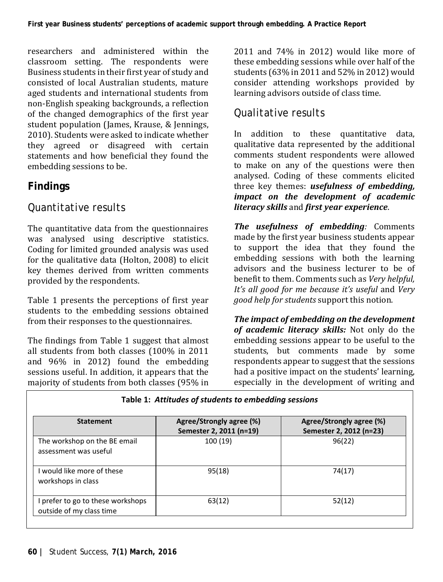researchers and administered within the classroom setting. The respondents were Business students in their first year of study and consisted of local Australian students, mature aged students and international students from non-English speaking backgrounds, a reflection of the changed demographics of the first year student population (James, Krause, & Jennings, 2010). Students were asked to indicate whether they agreed or disagreed with certain statements and how beneficial they found the embedding sessions to be.

#### **Findings**

#### *Quantitative results*

The quantitative data from the questionnaires was analysed using descriptive statistics. Coding for limited grounded analysis was used for the qualitative data (Holton, 2008) to elicit key themes derived from written comments provided by the respondents.

Table 1 presents the perceptions of first year students to the embedding sessions obtained from their responses to the questionnaires.

The findings from Table 1 suggest that almost all students from both classes (100% in 2011 and 96% in 2012) found the embedding sessions useful. In addition, it appears that the majority of students from both classes (95% in

2011 and 74% in 2012) would like more of these embedding sessions while over half of the students (63% in 2011 and 52% in 2012) would consider attending workshops provided by learning advisors outside of class time.

#### *Qualitative results*

In addition to these quantitative data, qualitative data represented by the additional comments student respondents were allowed to make on any of the questions were then analysed. Coding of these comments elicited three key themes: *usefulness of embedding, impact on the development of academic literacy skills* and *first year experience*.

*The usefulness of embedding:* Comments made by the first year business students appear to support the idea that they found the embedding sessions with both the learning advisors and the business lecturer to be of benefit to them. Comments such as *Very helpful, It's all good for me because it's useful* and *Very good help for students* support this notion.

*The impact of embedding on the development of academic literacy skills:* Not only do the embedding sessions appear to be useful to the students, but comments made by some respondents appear to suggest that the sessions had a positive impact on the students' learning, especially in the development of writing and

| Table 1: Attitudes of students to embedding sessions          |                                                     |                                                     |
|---------------------------------------------------------------|-----------------------------------------------------|-----------------------------------------------------|
| <b>Statement</b>                                              | Agree/Strongly agree (%)<br>Semester 2, 2011 (n=19) | Agree/Strongly agree (%)<br>Semester 2, 2012 (n=23) |
| The workshop on the BE email<br>assessment was useful         | 100 (19)                                            | 96(22)                                              |
| I would like more of these<br>workshops in class              | 95(18)                                              | 74(17)                                              |
| I prefer to go to these workshops<br>outside of my class time | 63(12)                                              | 52(12)                                              |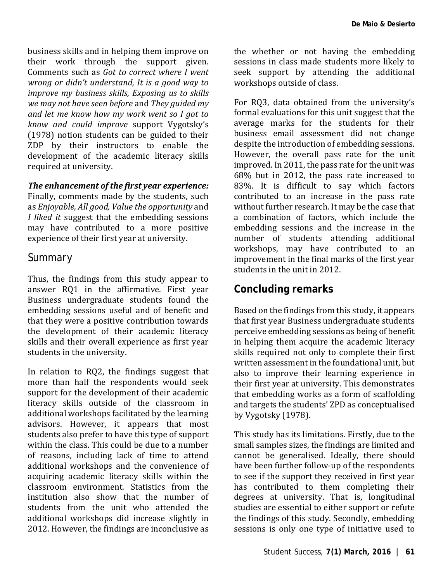business skills and in helping them improve on their work through the support given. Comments such as *Got to correct where I went wrong or didn't understand, It is a good way to improve my business skills, Exposing us to skills we may not have seen before* and *They guided my and let me know how my work went so I got to know and could improve* support Vygotsky's (1978) notion students can be guided to their ZDP by their instructors to enable the development of the academic literacy skills required at university.

#### *The enhancement of the first year experience:*

Finally, comments made by the students, such as *Enjoyable, All good, Value the opportunity* and *I liked it* suggest that the embedding sessions may have contributed to a more positive experience of their first year at university.

#### *Summary*

Thus, the findings from this study appear to answer RQ1 in the affirmative. First year Business undergraduate students found the embedding sessions useful and of benefit and that they were a positive contribution towards the development of their academic literacy skills and their overall experience as first year students in the university.

In relation to RQ2, the findings suggest that more than half the respondents would seek support for the development of their academic literacy skills outside of the classroom in additional workshops facilitated by the learning advisors. However, it appears that most students also prefer to have this type of support within the class. This could be due to a number of reasons, including lack of time to attend additional workshops and the convenience of acquiring academic literacy skills within the classroom environment. Statistics from the institution also show that the number of students from the unit who attended the additional workshops did increase slightly in 2012. However, the findings are inconclusive as

the whether or not having the embedding sessions in class made students more likely to seek support by attending the additional workshops outside of class.

For RQ3, data obtained from the university's formal evaluations for this unit suggest that the average marks for the students for their business email assessment did not change despite the introduction of embedding sessions. However, the overall pass rate for the unit improved. In 2011, the pass rate for the unit was 68% but in 2012, the pass rate increased to 83%. It is difficult to say which factors contributed to an increase in the pass rate without further research. It may be the case that a combination of factors, which include the embedding sessions and the increase in the number of students attending additional workshops, may have contributed to an improvement in the final marks of the first year students in the unit in 2012.

#### **Concluding remarks**

Based on the findings from this study, it appears that first year Business undergraduate students perceive embedding sessions as being of benefit in helping them acquire the academic literacy skills required not only to complete their first written assessment in the foundational unit, but also to improve their learning experience in their first year at university. This demonstrates that embedding works as a form of scaffolding and targets the students' ZPD as conceptualised by Vygotsky (1978).

This study has its limitations. Firstly, due to the small samples sizes, the findings are limited and cannot be generalised. Ideally, there should have been further follow-up of the respondents to see if the support they received in first year has contributed to them completing their degrees at university. That is, longitudinal studies are essential to either support or refute the findings of this study. Secondly, embedding sessions is only one type of initiative used to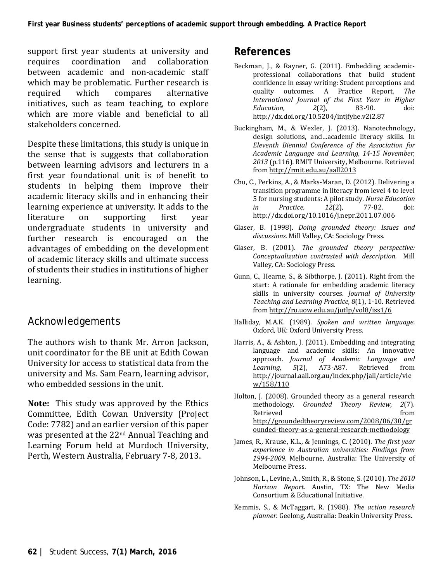support first year students at university and<br>requires coordination and collaboration coordination between academic and non-academic staff which may be problematic. Further research is<br>required which compares alternative alternative initiatives, such as team teaching, to explore which are more viable and beneficial to all stakeholders concerned.

Despite these limitations, this study is unique in the sense that is suggests that collaboration between learning advisors and lecturers in a first year foundational unit is of benefit to students in helping them improve their academic literacy skills and in enhancing their learning experience at university. It adds to the literature on supporting first year undergraduate students in university and further research is encouraged on the advantages of embedding on the development of academic literacy skills and ultimate success of students their studies in institutions of higher learning.

#### *Acknowledgements*

The authors wish to thank Mr. Arron Jackson, unit coordinator for the BE unit at Edith Cowan University for access to statistical data from the university and Ms. Sam Fearn, learning advisor, who embedded sessions in the unit.

**Note:** This study was approved by the Ethics Committee, Edith Cowan University (Project Code: 7782) and an earlier version of this paper was presented at the 22nd Annual Teaching and Learning Forum held at Murdoch University, Perth, Western Australia, February 7-8, 2013.

#### **References**

- Beckman, J., & Rayner, G. (2011). Embedding academicprofessional collaborations that build student confidence in essay writing: Student perceptions and quality outcomes. A Practice Report. The quality outcomes. A Practice Report. *International Journal of the First Year in Higher Education, 2*(2), 83-90. doi: http://dx.doi.org/10.5204/intjfyhe.v2i2.87
- Buckingham, M., & Wexler, J. (2013). Nanotechnology, design solutions, and…academic literacy skills. In *Eleventh Biennial Conference of the Association for Academic Language and Learning, 14-15 November, 2013* (p.116)*.* RMIT University, Melbourne. Retrieved fro[m http://rmit.edu.au/aall2013](http://rmit.edu.au/aall2013)
- Chu, C., Perkins, A., & Marks-Maran, D. (2012). Delivering a transition programme in literacy from level 4 to level 5 for nursing students: A pilot study. *Nurse Education in Practice, 12*(2), 77-82. doi: http://dx.doi.org/10.1016/j.nepr.2011.07.006
- Glaser, B. (1998). *Doing grounded theory: Issues and discussions.* Mill Valley, CA: Sociology Press.
- Glaser, B. (2001). *The grounded theory perspective: Conceptualization contrasted with description.* Mill Valley, CA: Sociology Press.
- Gunn, C., Hearne, S., & Sibthorpe, J. (2011). Right from the start: A rationale for embedding academic literacy skills in university courses*. Journal of University Teaching and Learning Practice, 8*(1), 1-10. Retrieved fro[m http://ro.uow.edu.au/jutlp/vol8/iss1/6](http://ro.uow.edu.au/jutlp/vol8/iss1/6)
- Halliday, M.A.K. (1989). *Spoken and written language.*  Oxford, UK: Oxford University Press.
- Harris, A., & Ashton, J. (2011). Embedding and integrating language and academic skills: An innovative approach. *Journal of Academic Language and 5*(2), A73-A87. [http://journal.aall.org.au/index.php/jall/article/vie](http://journal.aall.org.au/index.php/jall/article/view/158/110) [w/158/110](http://journal.aall.org.au/index.php/jall/article/view/158/110)
- Holton, J. (2008). Grounded theory as a general research methodology. *Grounded Theory Review, 2*(7). Retrieved from  $\sim$ [http://groundedtheoryreview.com/2008/06/30/gr](http://groundedtheoryreview.com/2008/06/30/grounded-theory-as-a-general-research-methodology) [ounded-theory-as-a-general-research-methodology](http://groundedtheoryreview.com/2008/06/30/grounded-theory-as-a-general-research-methodology)
- James, R., Krause, K.L., & Jennings, C. (2010). *The first year experience in Australian universities: Findings from 1994-2009.* Melbourne, Australia: The University of Melbourne Press.
- Johnson, L., Levine, A., Smith, R., & Stone, S. (2010). *The 2010 Horizon Report*. Austin, TX: The New Media Consortium & Educational Initiative.
- Kemmis, S., & McTaggart, R. (1988). *The action research planner.* Geelong, Australia: Deakin University Press.